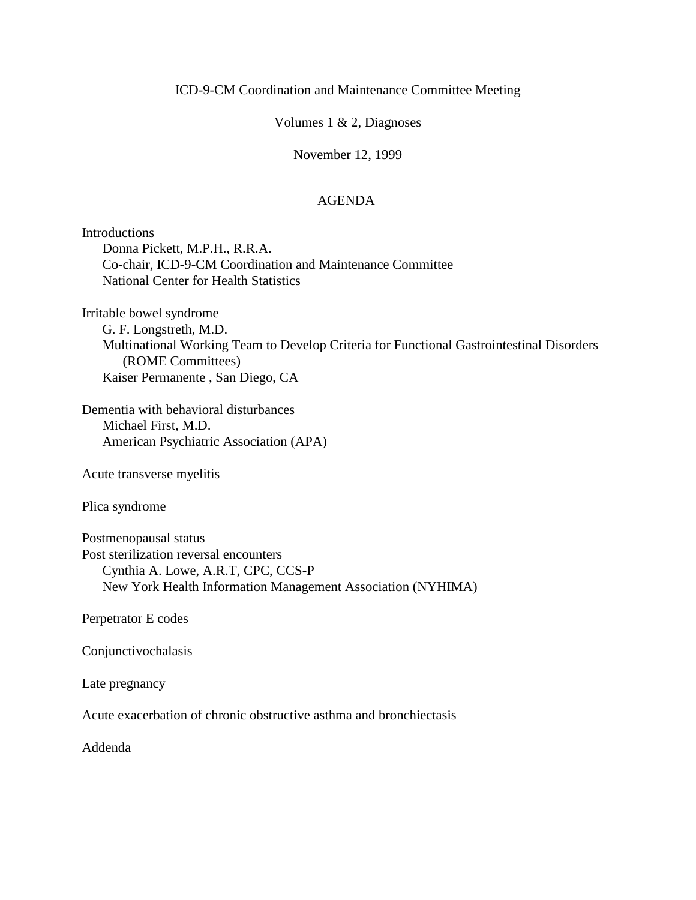## Volumes 1 & 2, Diagnoses

### November 12, 1999

## AGENDA

Introductions Donna Pickett, M.P.H., R.R.A. Co-chair, ICD-9-CM Coordination and Maintenance Committee National Center for Health Statistics

Irritable bowel syndrome G. F. Longstreth, M.D. Multinational Working Team to Develop Criteria for Functional Gastrointestinal Disorders (ROME Committees) Kaiser Permanente , San Diego, CA

Dementia with behavioral disturbances Michael First, M.D. American Psychiatric Association (APA)

Acute transverse myelitis

Plica syndrome

Postmenopausal status Post sterilization reversal encounters Cynthia A. Lowe, A.R.T, CPC, CCS-P New York Health Information Management Association (NYHIMA)

Perpetrator E codes

Conjunctivochalasis

Late pregnancy

Acute exacerbation of chronic obstructive asthma and bronchiectasis

Addenda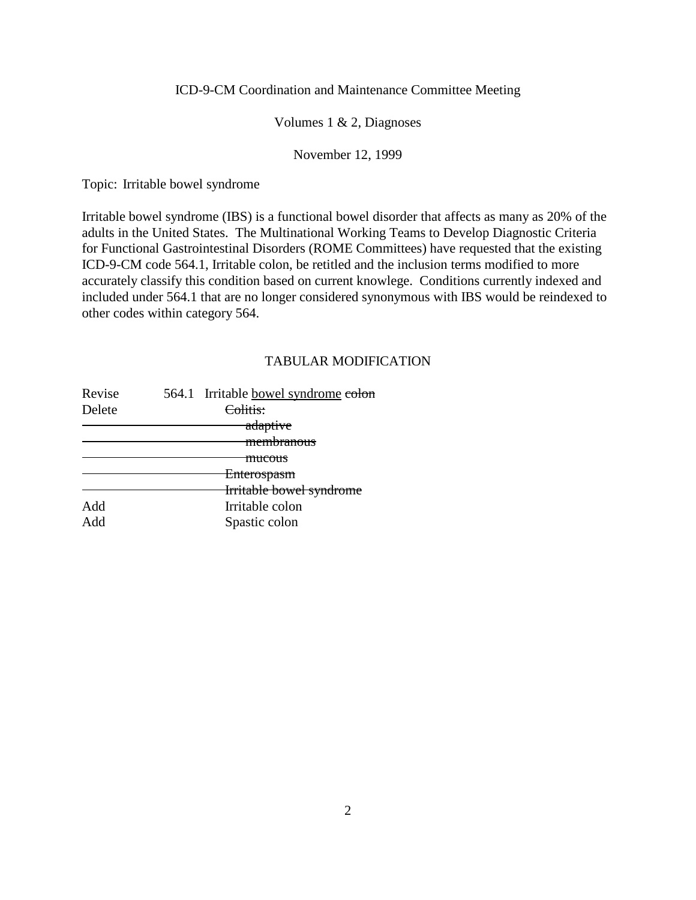## Volumes 1 & 2, Diagnoses

## November 12, 1999

Topic: Irritable bowel syndrome

Irritable bowel syndrome (IBS) is a functional bowel disorder that affects as many as 20% of the adults in the United States. The Multinational Working Teams to Develop Diagnostic Criteria for Functional Gastrointestinal Disorders (ROME Committees) have requested that the existing ICD-9-CM code 564.1, Irritable colon, be retitled and the inclusion terms modified to more accurately classify this condition based on current knowlege. Conditions currently indexed and included under 564.1 that are no longer considered synonymous with IBS would be reindexed to other codes within category 564.

| Revise | 564.1 Irritable bowel syndrome colon |
|--------|--------------------------------------|
| Delete | Colitis:                             |
|        | adaptive                             |
|        | <del>membranous</del>                |
|        | mucous                               |
|        | Enterospasm                          |
|        | Irritable bowel syndrome             |
| Add    | Irritable colon                      |
| hhA    | Spastic colon                        |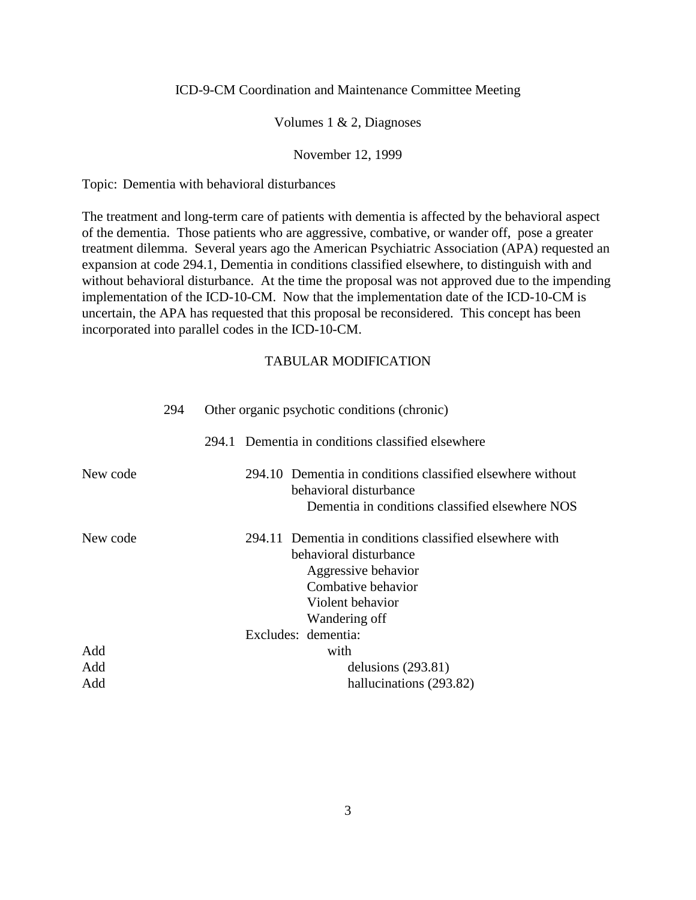### Volumes 1 & 2, Diagnoses

#### November 12, 1999

Topic: Dementia with behavioral disturbances

The treatment and long-term care of patients with dementia is affected by the behavioral aspect of the dementia. Those patients who are aggressive, combative, or wander off, pose a greater treatment dilemma. Several years ago the American Psychiatric Association (APA) requested an expansion at code 294.1, Dementia in conditions classified elsewhere, to distinguish with and without behavioral disturbance. At the time the proposal was not approved due to the impending implementation of the ICD-10-CM. Now that the implementation date of the ICD-10-CM is uncertain, the APA has requested that this proposal be reconsidered. This concept has been incorporated into parallel codes in the ICD-10-CM.

|          | 294 | Other organic psychotic conditions (chronic)                                                                                                                                               |
|----------|-----|--------------------------------------------------------------------------------------------------------------------------------------------------------------------------------------------|
|          |     | 294.1 Dementia in conditions classified elsewhere                                                                                                                                          |
| New code |     | 294.10 Dementia in conditions classified elsewhere without<br>behavioral disturbance<br>Dementia in conditions classified elsewhere NOS                                                    |
| New code |     | 294.11 Dementia in conditions classified elsewhere with<br>behavioral disturbance<br>Aggressive behavior<br>Combative behavior<br>Violent behavior<br>Wandering off<br>Excludes: dementia: |
| Add      |     | with                                                                                                                                                                                       |
| Add      |     | delusions $(293.81)$                                                                                                                                                                       |
| Add      |     | hallucinations (293.82)                                                                                                                                                                    |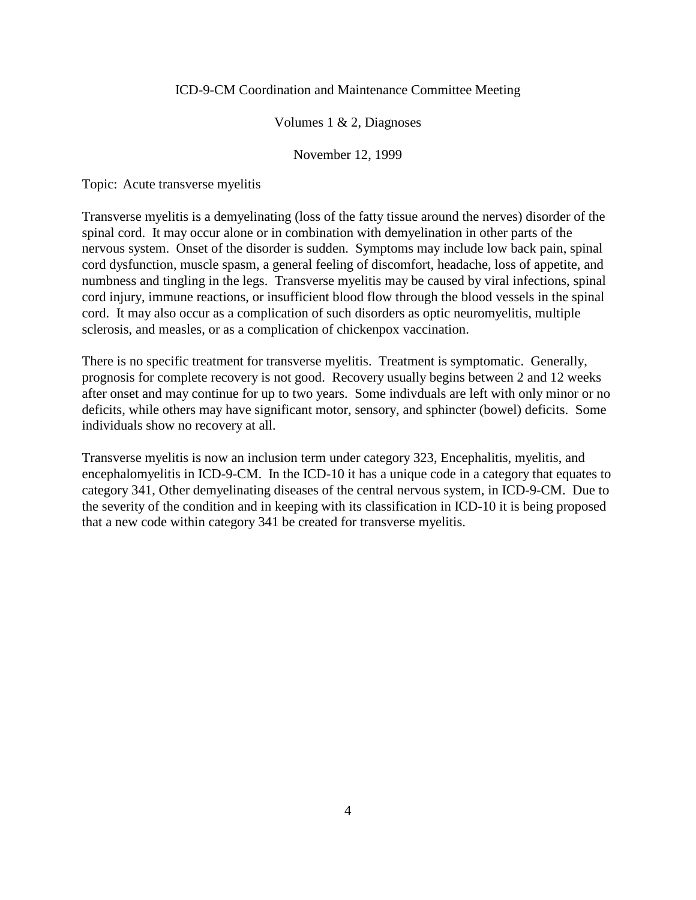### Volumes 1 & 2, Diagnoses

#### November 12, 1999

Topic: Acute transverse myelitis

Transverse myelitis is a demyelinating (loss of the fatty tissue around the nerves) disorder of the spinal cord. It may occur alone or in combination with demyelination in other parts of the nervous system. Onset of the disorder is sudden. Symptoms may include low back pain, spinal cord dysfunction, muscle spasm, a general feeling of discomfort, headache, loss of appetite, and numbness and tingling in the legs. Transverse myelitis may be caused by viral infections, spinal cord injury, immune reactions, or insufficient blood flow through the blood vessels in the spinal cord. It may also occur as a complication of such disorders as optic neuromyelitis, multiple sclerosis, and measles, or as a complication of chickenpox vaccination.

There is no specific treatment for transverse myelitis. Treatment is symptomatic. Generally, prognosis for complete recovery is not good. Recovery usually begins between 2 and 12 weeks after onset and may continue for up to two years. Some indivduals are left with only minor or no deficits, while others may have significant motor, sensory, and sphincter (bowel) deficits. Some individuals show no recovery at all.

Transverse myelitis is now an inclusion term under category 323, Encephalitis, myelitis, and encephalomyelitis in ICD-9-CM. In the ICD-10 it has a unique code in a category that equates to category 341, Other demyelinating diseases of the central nervous system, in ICD-9-CM. Due to the severity of the condition and in keeping with its classification in ICD-10 it is being proposed that a new code within category 341 be created for transverse myelitis.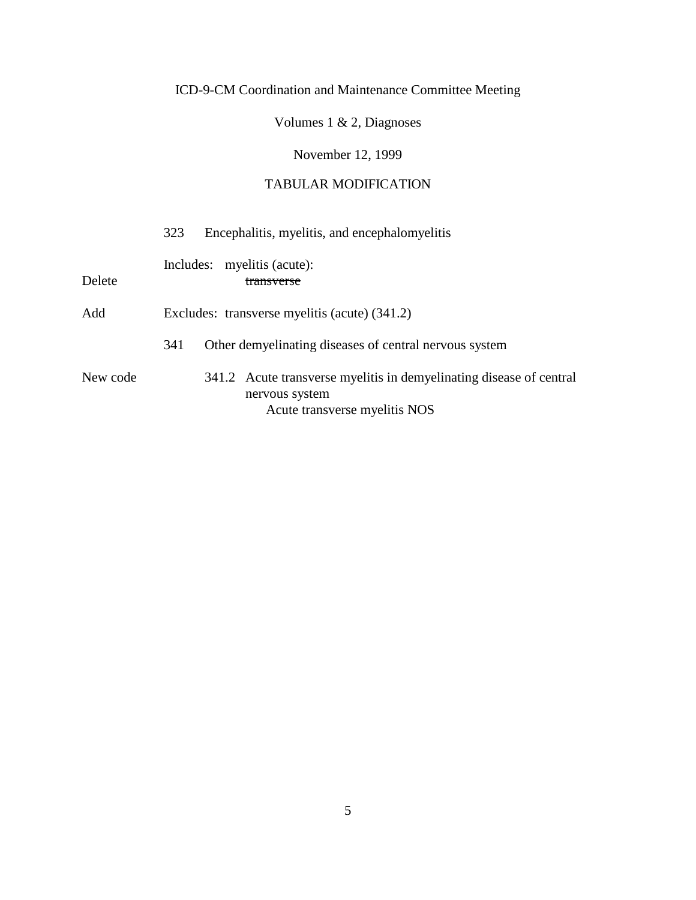Volumes 1 & 2, Diagnoses

November 12, 1999

|          | Encephalitis, myelitis, and encephalomyelitis<br>323                                                                   |
|----------|------------------------------------------------------------------------------------------------------------------------|
| Delete   | Includes: myelitis (acute):<br>transverse                                                                              |
| Add      | Excludes: transverse myelitis (acute) (341.2)                                                                          |
|          | Other demyelinating diseases of central nervous system<br>341                                                          |
| New code | 341.2 Acute transverse myelitis in demyelinating disease of central<br>nervous system<br>Acute transverse myelitis NOS |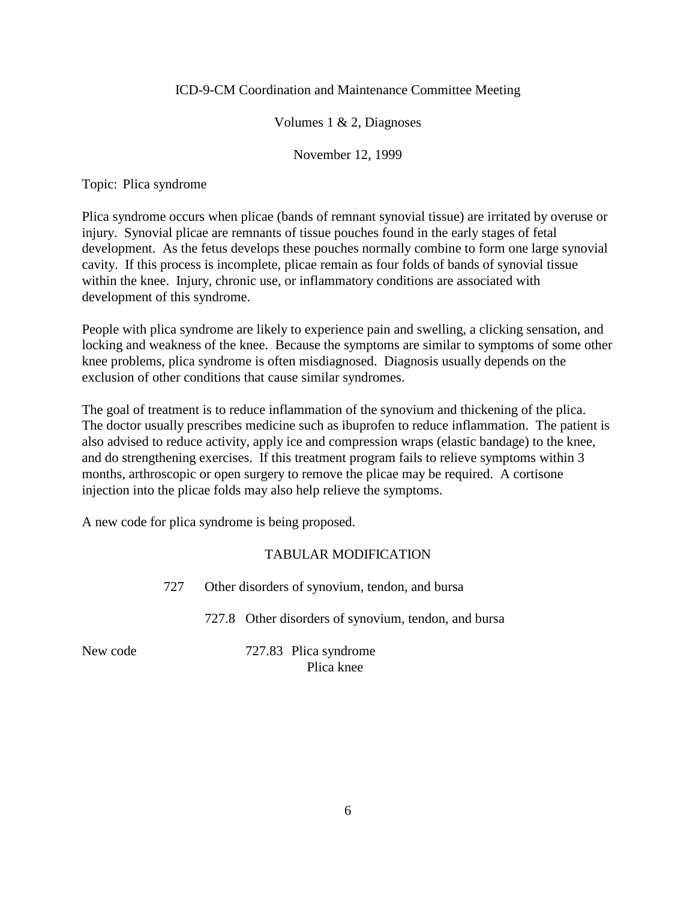## Volumes 1 & 2, Diagnoses

November 12, 1999

Topic: Plica syndrome

Plica syndrome occurs when plicae (bands of remnant synovial tissue) are irritated by overuse or injury. Synovial plicae are remnants of tissue pouches found in the early stages of fetal development. As the fetus develops these pouches normally combine to form one large synovial cavity. If this process is incomplete, plicae remain as four folds of bands of synovial tissue within the knee. Injury, chronic use, or inflammatory conditions are associated with development of this syndrome.

People with plica syndrome are likely to experience pain and swelling, a clicking sensation, and locking and weakness of the knee. Because the symptoms are similar to symptoms of some other knee problems, plica syndrome is often misdiagnosed. Diagnosis usually depends on the exclusion of other conditions that cause similar syndromes.

The goal of treatment is to reduce inflammation of the synovium and thickening of the plica. The doctor usually prescribes medicine such as ibuprofen to reduce inflammation. The patient is also advised to reduce activity, apply ice and compression wraps (elastic bandage) to the knee, and do strengthening exercises. If this treatment program fails to relieve symptoms within 3 months, arthroscopic or open surgery to remove the plicae may be required. A cortisone injection into the plicae folds may also help relieve the symptoms.

A new code for plica syndrome is being proposed.

## TABULAR MODIFICATION

727 Other disorders of synovium, tendon, and bursa

727.8 Other disorders of synovium, tendon, and bursa

New code 727.83 Plica syndrome Plica knee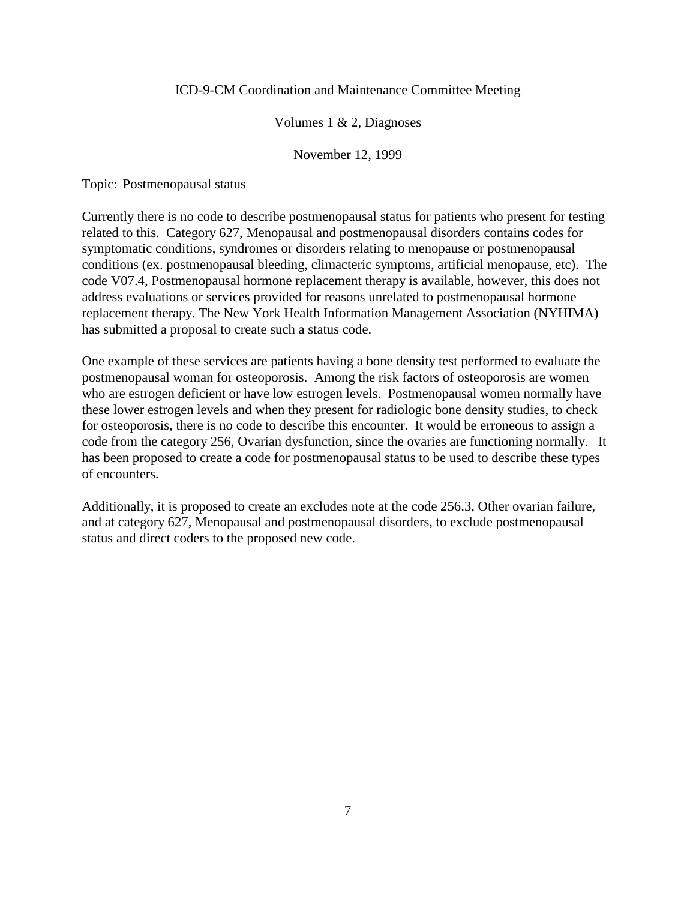### Volumes 1 & 2, Diagnoses

#### November 12, 1999

Topic: Postmenopausal status

Currently there is no code to describe postmenopausal status for patients who present for testing related to this. Category 627, Menopausal and postmenopausal disorders contains codes for symptomatic conditions, syndromes or disorders relating to menopause or postmenopausal conditions (ex. postmenopausal bleeding, climacteric symptoms, artificial menopause, etc). The code V07.4, Postmenopausal hormone replacement therapy is available, however, this does not address evaluations or services provided for reasons unrelated to postmenopausal hormone replacement therapy. The New York Health Information Management Association (NYHIMA) has submitted a proposal to create such a status code.

One example of these services are patients having a bone density test performed to evaluate the postmenopausal woman for osteoporosis. Among the risk factors of osteoporosis are women who are estrogen deficient or have low estrogen levels. Postmenopausal women normally have these lower estrogen levels and when they present for radiologic bone density studies, to check for osteoporosis, there is no code to describe this encounter. It would be erroneous to assign a code from the category 256, Ovarian dysfunction, since the ovaries are functioning normally. It has been proposed to create a code for postmenopausal status to be used to describe these types of encounters.

Additionally, it is proposed to create an excludes note at the code 256.3, Other ovarian failure, and at category 627, Menopausal and postmenopausal disorders, to exclude postmenopausal status and direct coders to the proposed new code.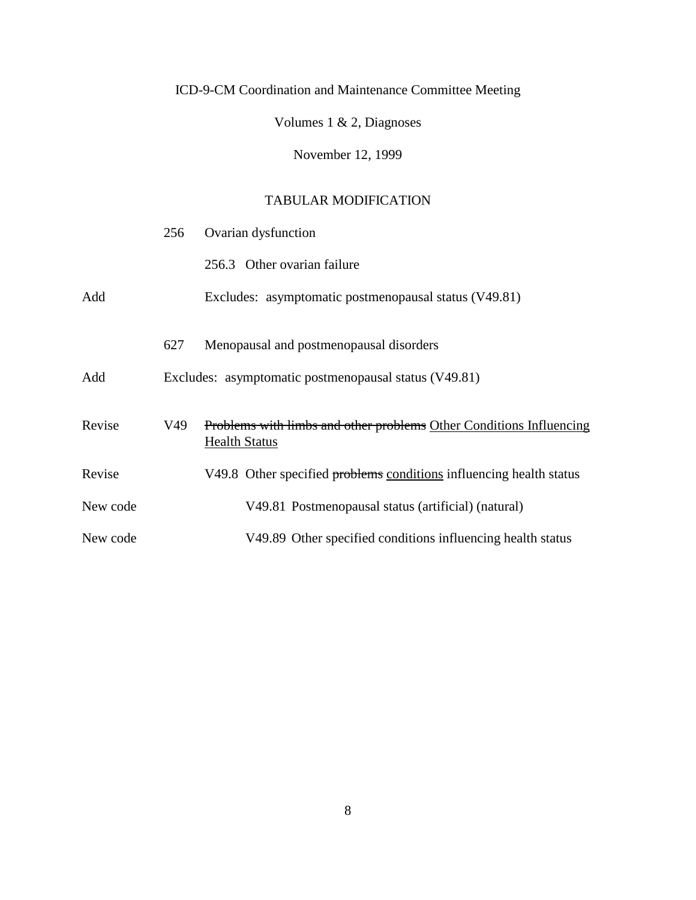Volumes 1 & 2, Diagnoses

November 12, 1999

|          | 256 | Ovarian dysfunction                                                                                |
|----------|-----|----------------------------------------------------------------------------------------------------|
|          |     | 256.3 Other ovarian failure                                                                        |
| Add      |     | Excludes: asymptomatic postmenopausal status (V49.81)                                              |
|          | 627 | Menopausal and postmenopausal disorders                                                            |
| Add      |     | Excludes: asymptomatic postmenopausal status (V49.81)                                              |
| Revise   | V49 | <b>Problems with limbs and other problems Other Conditions Influencing</b><br><b>Health Status</b> |
| Revise   |     | V49.8 Other specified problems conditions influencing health status                                |
| New code |     | V49.81 Postmenopausal status (artificial) (natural)                                                |
| New code |     | V49.89 Other specified conditions influencing health status                                        |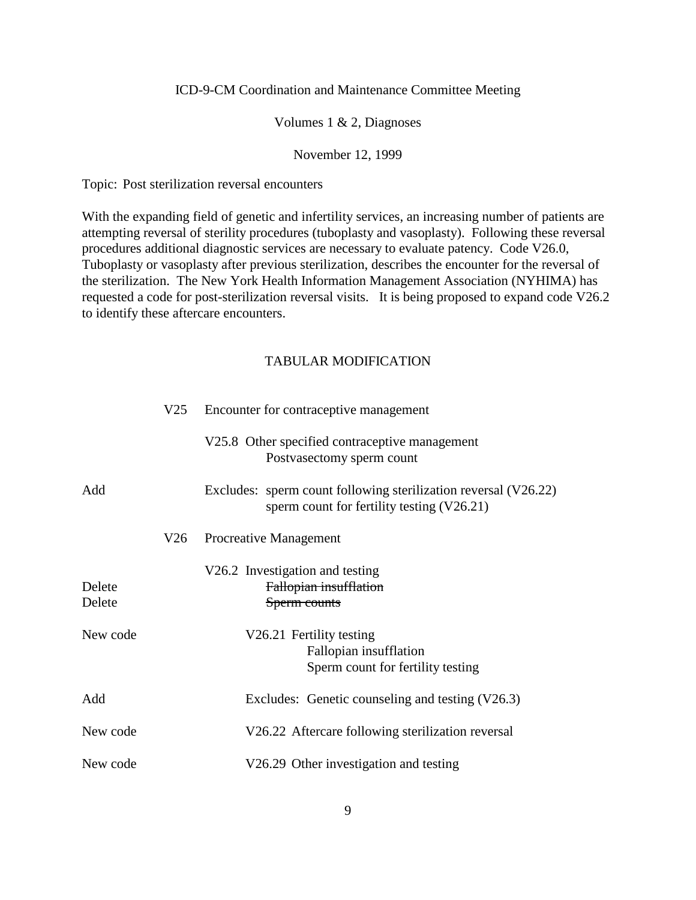### Volumes 1 & 2, Diagnoses

#### November 12, 1999

Topic: Post sterilization reversal encounters

With the expanding field of genetic and infertility services, an increasing number of patients are attempting reversal of sterility procedures (tuboplasty and vasoplasty). Following these reversal procedures additional diagnostic services are necessary to evaluate patency. Code V26.0, Tuboplasty or vasoplasty after previous sterilization, describes the encounter for the reversal of the sterilization. The New York Health Information Management Association (NYHIMA) has requested a code for post-sterilization reversal visits. It is being proposed to expand code V26.2 to identify these aftercare encounters.

|                  |     | V25 Encounter for contraceptive management                                                                      |
|------------------|-----|-----------------------------------------------------------------------------------------------------------------|
|                  |     | V25.8 Other specified contraceptive management<br>Postvasectomy sperm count                                     |
| Add              |     | Excludes: sperm count following sterilization reversal (V26.22)<br>sperm count for fertility testing $(V26.21)$ |
|                  | V26 | <b>Procreative Management</b>                                                                                   |
| Delete<br>Delete |     | V26.2 Investigation and testing<br>Fallopian insufflation<br>Sperm counts                                       |
| New code         |     | V26.21 Fertility testing<br>Fallopian insufflation<br>Sperm count for fertility testing                         |
| Add              |     | Excludes: Genetic counseling and testing (V26.3)                                                                |
| New code         |     | V26.22 Aftercare following sterilization reversal                                                               |
| New code         |     | V26.29 Other investigation and testing                                                                          |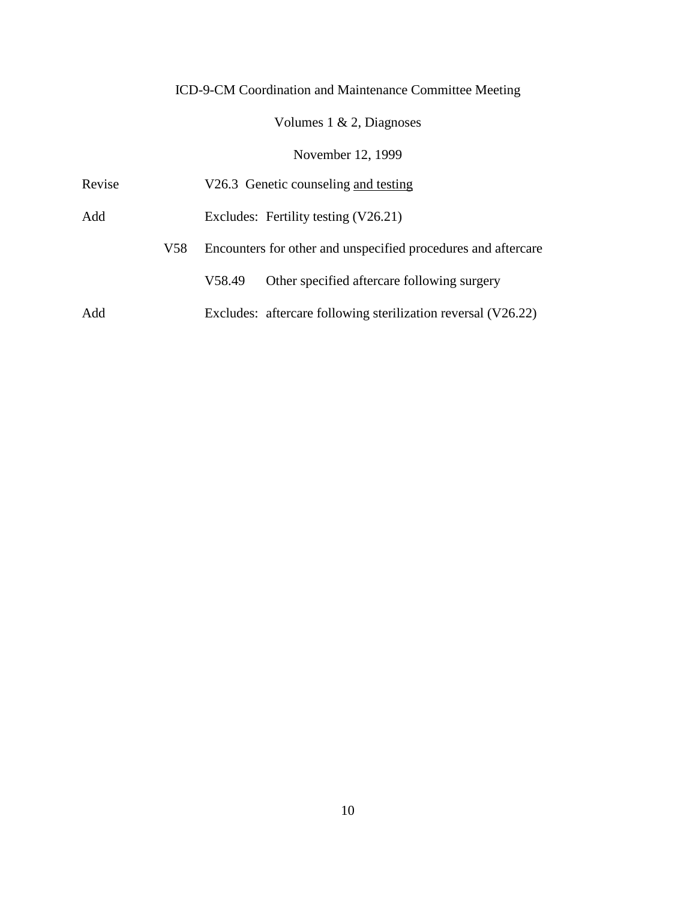# Volumes 1 & 2, Diagnoses

## November 12, 1999

| Revise |     |                                      | V26.3 Genetic counseling and testing                          |  |
|--------|-----|--------------------------------------|---------------------------------------------------------------|--|
| Add    |     | Excludes: Fertility testing (V26.21) |                                                               |  |
|        | V58 |                                      | Encounters for other and unspecified procedures and aftercare |  |
|        |     | V58.49                               | Other specified aftercare following surgery                   |  |
| Add    |     |                                      | Excludes: aftercare following sterilization reversal (V26.22) |  |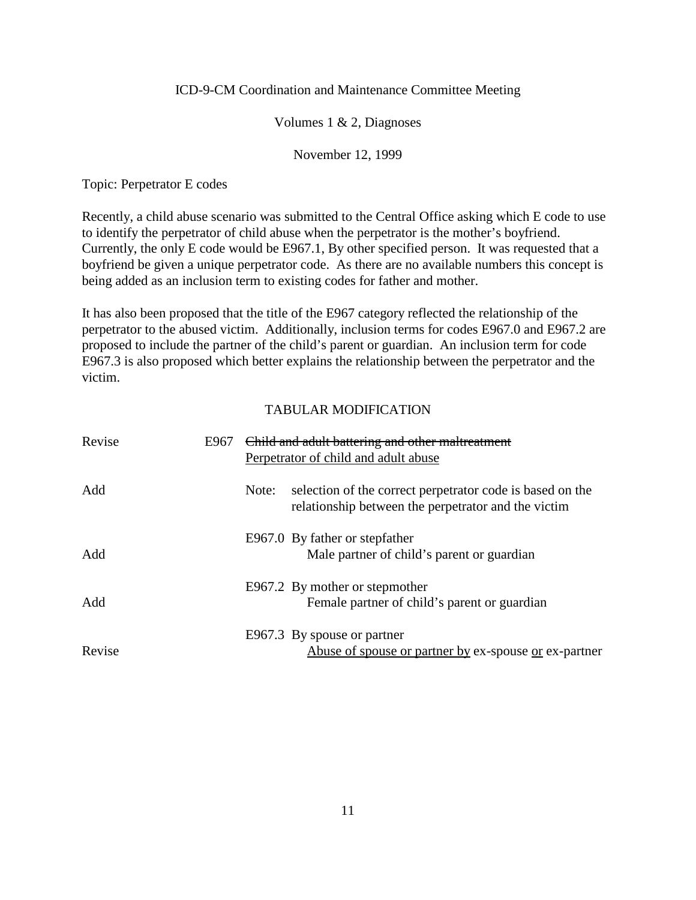### Volumes 1 & 2, Diagnoses

#### November 12, 1999

Topic: Perpetrator E codes

Recently, a child abuse scenario was submitted to the Central Office asking which E code to use to identify the perpetrator of child abuse when the perpetrator is the mother's boyfriend. Currently, the only E code would be E967.1, By other specified person. It was requested that a boyfriend be given a unique perpetrator code. As there are no available numbers this concept is being added as an inclusion term to existing codes for father and mother.

It has also been proposed that the title of the E967 category reflected the relationship of the perpetrator to the abused victim. Additionally, inclusion terms for codes E967.0 and E967.2 are proposed to include the partner of the child's parent or guardian. An inclusion term for code E967.3 is also proposed which better explains the relationship between the perpetrator and the victim.

| Revise | E967 | Child and adult battering and other maltreatment                                                           |
|--------|------|------------------------------------------------------------------------------------------------------------|
| Add    |      | Perpetrator of child and adult abuse<br>selection of the correct perpetrator code is based on the<br>Note: |
|        |      | relationship between the perpetrator and the victim                                                        |
| Add    |      | E967.0 By father or stepfather<br>Male partner of child's parent or guardian                               |
| Add    |      | E967.2 By mother or stepmother<br>Female partner of child's parent or guardian                             |
| Revise |      | E967.3 By spouse or partner<br><u>Abuse of spouse or partner by</u> ex-spouse <u>or</u> ex-partner         |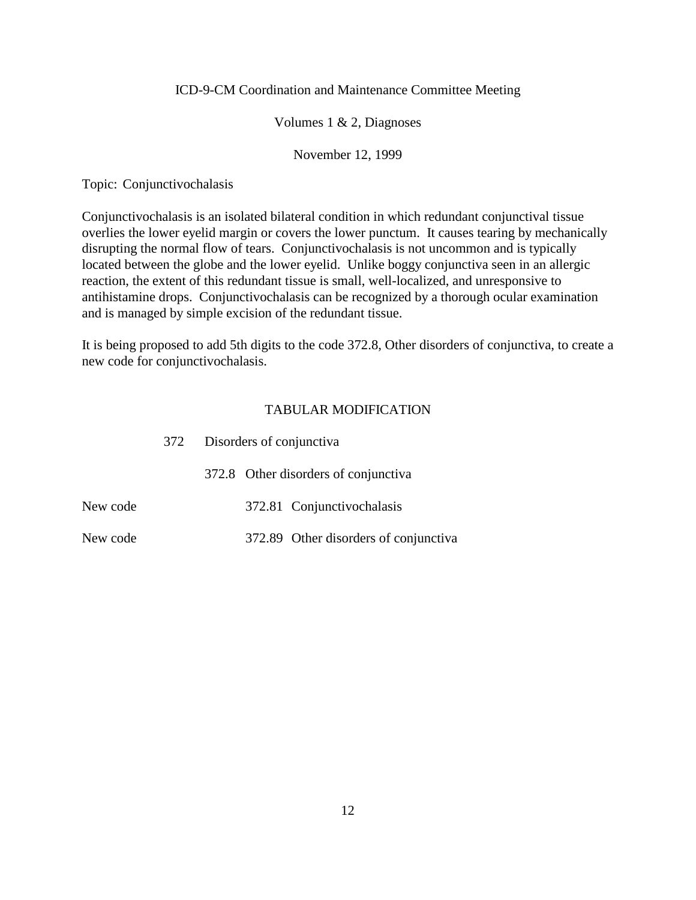## Volumes 1 & 2, Diagnoses

## November 12, 1999

Topic: Conjunctivochalasis

Conjunctivochalasis is an isolated bilateral condition in which redundant conjunctival tissue overlies the lower eyelid margin or covers the lower punctum. It causes tearing by mechanically disrupting the normal flow of tears. Conjunctivochalasis is not uncommon and is typically located between the globe and the lower eyelid. Unlike boggy conjunctiva seen in an allergic reaction, the extent of this redundant tissue is small, well-localized, and unresponsive to antihistamine drops. Conjunctivochalasis can be recognized by a thorough ocular examination and is managed by simple excision of the redundant tissue.

It is being proposed to add 5th digits to the code 372.8, Other disorders of conjunctiva, to create a new code for conjunctivochalasis.

|          | 372 | Disorders of conjunctiva |                                       |  |
|----------|-----|--------------------------|---------------------------------------|--|
|          |     |                          | 372.8 Other disorders of conjunctiva  |  |
| New code |     |                          | 372.81 Conjunctivochalasis            |  |
| New code |     |                          | 372.89 Other disorders of conjunctiva |  |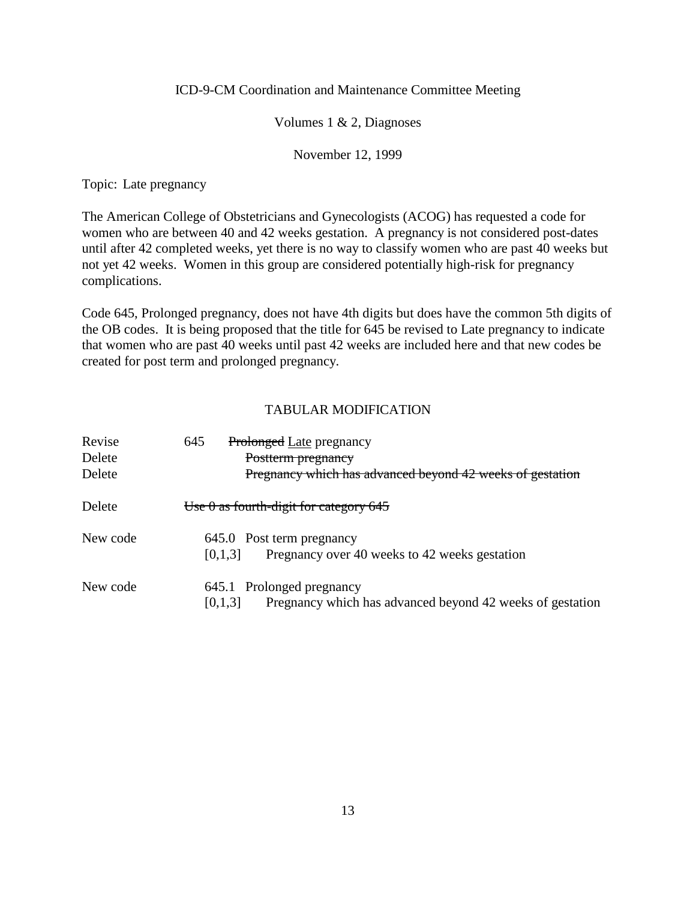## Volumes 1 & 2, Diagnoses

## November 12, 1999

Topic: Late pregnancy

The American College of Obstetricians and Gynecologists (ACOG) has requested a code for women who are between 40 and 42 weeks gestation. A pregnancy is not considered post-dates until after 42 completed weeks, yet there is no way to classify women who are past 40 weeks but not yet 42 weeks. Women in this group are considered potentially high-risk for pregnancy complications.

Code 645, Prolonged pregnancy, does not have 4th digits but does have the common 5th digits of the OB codes. It is being proposed that the title for 645 be revised to Late pregnancy to indicate that women who are past 40 weeks until past 42 weeks are included here and that new codes be created for post term and prolonged pregnancy.

| Revise   | 645<br><b>Prolonged Late pregnancy</b>                               |
|----------|----------------------------------------------------------------------|
| Delete   | Postterm pregnancy                                                   |
| Delete   | Pregnancy which has advanced beyond 42 weeks of gestation            |
| Delete   | Use $\theta$ as fourth-digit for category 645                        |
| New code | 645.0 Post term pregnancy                                            |
|          | Pregnancy over 40 weeks to 42 weeks gestation<br>[0,1,3]             |
| New code | 645.1 Prolonged pregnancy                                            |
|          | Pregnancy which has advanced beyond 42 weeks of gestation<br>[0,1,3] |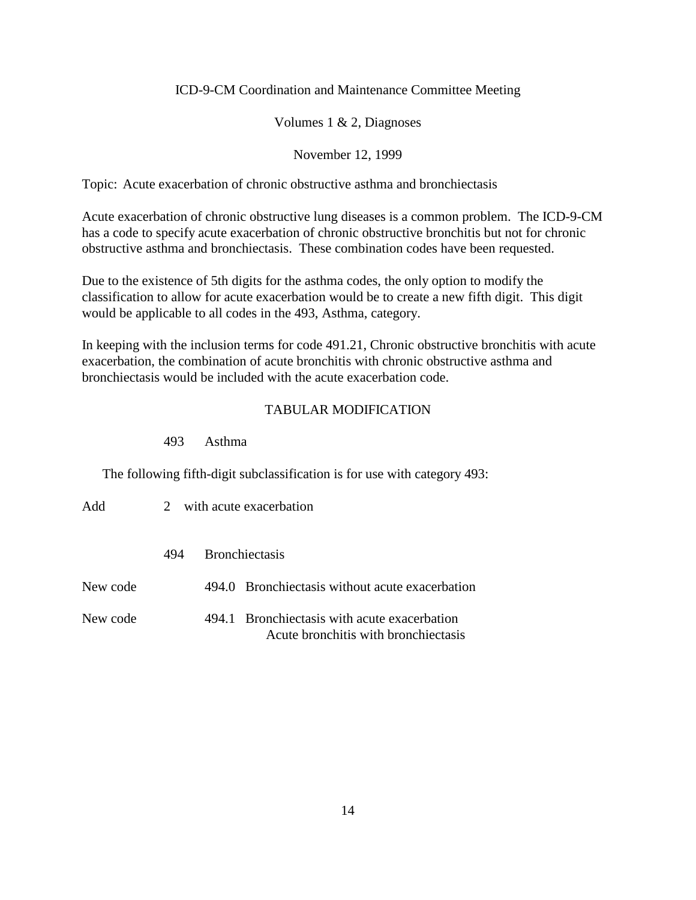## Volumes 1 & 2, Diagnoses

## November 12, 1999

Topic: Acute exacerbation of chronic obstructive asthma and bronchiectasis

Acute exacerbation of chronic obstructive lung diseases is a common problem. The ICD-9-CM has a code to specify acute exacerbation of chronic obstructive bronchitis but not for chronic obstructive asthma and bronchiectasis. These combination codes have been requested.

Due to the existence of 5th digits for the asthma codes, the only option to modify the classification to allow for acute exacerbation would be to create a new fifth digit. This digit would be applicable to all codes in the 493, Asthma, category.

In keeping with the inclusion terms for code 491.21, Chronic obstructive bronchitis with acute exacerbation, the combination of acute bronchitis with chronic obstructive asthma and bronchiectasis would be included with the acute exacerbation code.

### TABULAR MODIFICATION

### 493 Asthma

The following fifth-digit subclassification is for use with category 493:

| Add      | 2 with acute exacerbation |  |                                                                                      |
|----------|---------------------------|--|--------------------------------------------------------------------------------------|
|          | 494                       |  | <b>Bronchiectasis</b>                                                                |
| New code |                           |  | 494.0 Bronchiectasis without acute exacerbation                                      |
| New code |                           |  | 494.1 Bronchiectasis with acute exacerbation<br>Acute bronchitis with bronchiectasis |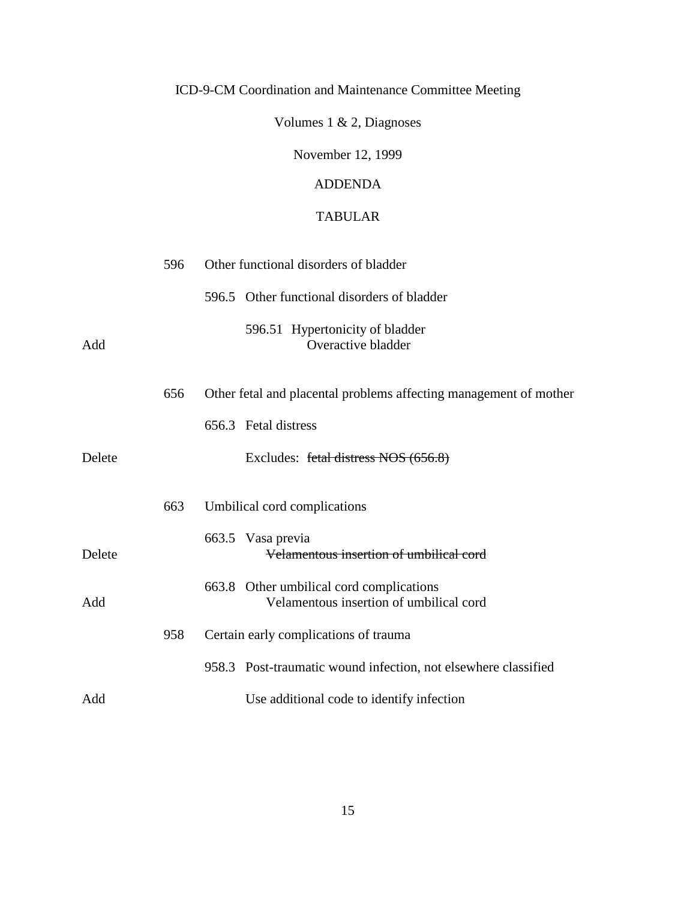Volumes 1 & 2, Diagnoses

November 12, 1999

## ADDENDA

## TABULAR

|        | 596 | Other functional disorders of bladder                             |  |
|--------|-----|-------------------------------------------------------------------|--|
|        |     | 596.5 Other functional disorders of bladder                       |  |
| Add    |     | 596.51 Hypertonicity of bladder<br>Overactive bladder             |  |
|        | 656 | Other fetal and placental problems affecting management of mother |  |
|        |     | 656.3 Fetal distress                                              |  |
| Delete |     | Excludes: fetal distress NOS (656.8)                              |  |
|        | 663 | Umbilical cord complications                                      |  |
| Delete |     | 663.5 Vasa previa<br>Velamentous insertion of umbilical cord      |  |
|        |     | 663.8 Other umbilical cord complications                          |  |
| Add    |     | Velamentous insertion of umbilical cord                           |  |
|        | 958 | Certain early complications of trauma                             |  |
|        |     | 958.3 Post-traumatic wound infection, not elsewhere classified    |  |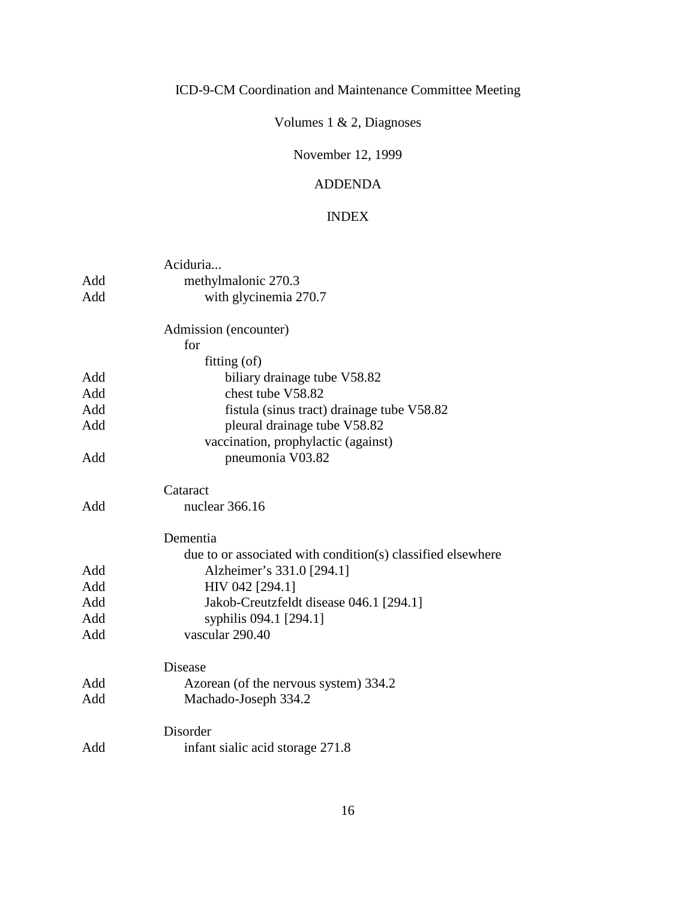# Volumes 1 & 2, Diagnoses

## November 12, 1999

## ADDENDA

## INDEX

|     | Aciduria                                                    |
|-----|-------------------------------------------------------------|
| Add | methylmalonic 270.3                                         |
| Add | with glycinemia 270.7                                       |
|     | Admission (encounter)                                       |
|     | for                                                         |
|     | fitting (of)                                                |
| Add | biliary drainage tube V58.82                                |
| Add | chest tube V58.82                                           |
| Add | fistula (sinus tract) drainage tube V58.82                  |
| Add | pleural drainage tube V58.82                                |
|     | vaccination, prophylactic (against)                         |
| Add | pneumonia V03.82                                            |
|     | Cataract                                                    |
| Add | nuclear 366.16                                              |
|     | Dementia                                                    |
|     | due to or associated with condition(s) classified elsewhere |
| Add | Alzheimer's 331.0 [294.1]                                   |
| Add | HIV 042 [294.1]                                             |
| Add | Jakob-Creutzfeldt disease 046.1 [294.1]                     |
| Add | syphilis 094.1 [294.1]                                      |
| Add | vascular 290.40                                             |
|     | <b>Disease</b>                                              |
| Add | Azorean (of the nervous system) 334.2                       |
| Add | Machado-Joseph 334.2                                        |
|     | Disorder                                                    |
| Add | infant sialic acid storage 271.8                            |